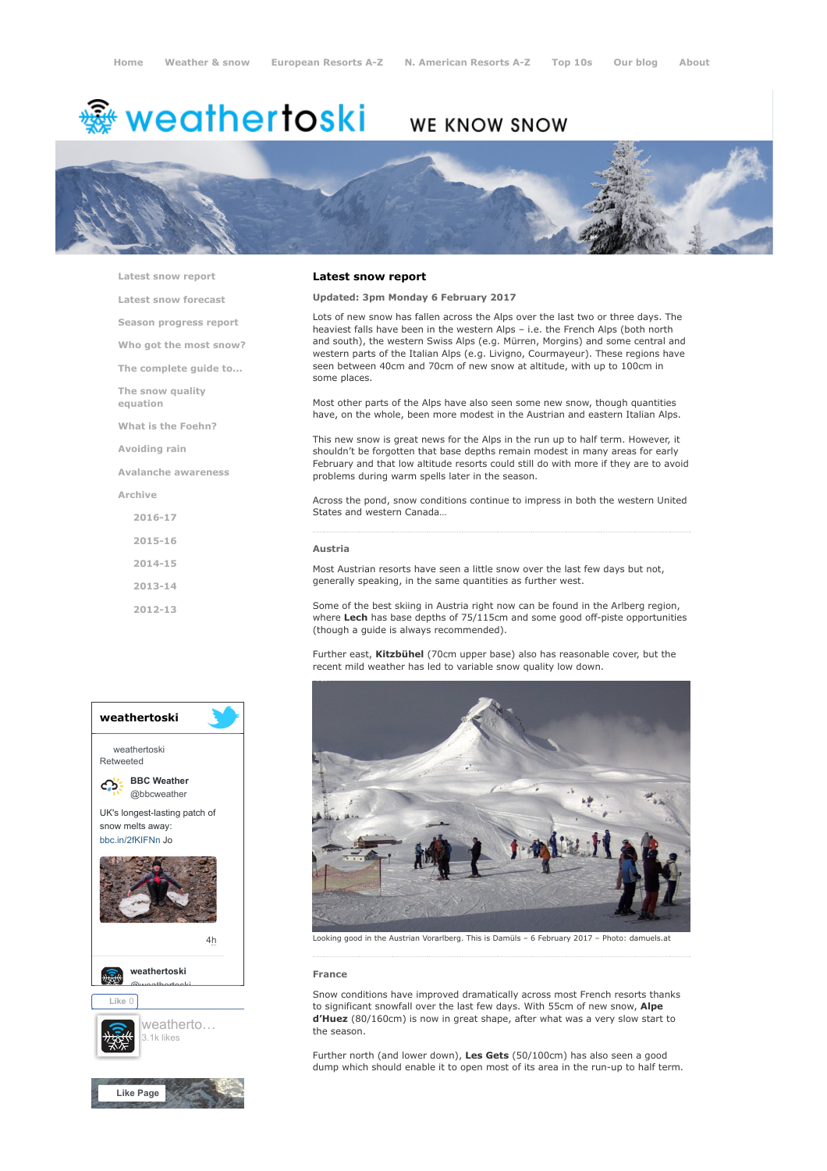# weathertoski ﷺ

# WE KNOW SNOW



[Latest snow report](https://www.weathertoski.co.uk/weather-snow/latest-snow-report/)

[Latest snow forecast](https://www.weathertoski.co.uk/weather-snow/latest-snow-forecast/)

[Season progress report](https://www.weathertoski.co.uk/weather-snow/season-progress-report/)

[Who got the most snow?](https://www.weathertoski.co.uk/weather-snow/who-got-the-most-snow/)

[The complete guide to...](https://www.weathertoski.co.uk/weather-snow/the-complete-guide-to/)

[The snow quality](https://www.weathertoski.co.uk/weather-snow/the-snow-quality-equation/)

[What is the Foehn?](https://www.weathertoski.co.uk/weather-snow/what-is-the-foehn/)

[Avoiding rain](https://www.weathertoski.co.uk/weather-snow/avoiding-rain/)

equation

[Avalanche awareness](https://www.weathertoski.co.uk/weather-snow/avalanche-awareness/)

[Archive](https://www.weathertoski.co.uk/weather-snow/archive/)

- [2016-17](https://www.weathertoski.co.uk/weather-snow/archive/2016-17/) [2015-16](https://www.weathertoski.co.uk/weather-snow/archive/2015-16/) [2014-15](https://www.weathertoski.co.uk/weather-snow/archive/2014-15/) [2013-14](https://www.weathertoski.co.uk/weather-snow/archive/2013-14/)
- [2012-13](https://www.weathertoski.co.uk/weather-snow/archive/2012-13/)

# weathertoski weathertoski Retweeted [BBC Weather](https://twitter.com/bbcweather) ය @bbcweather UK's longest-lasting patch of snow melts away: [bbc.in/2fKIFNn](https://t.co/dEQbIDXwfC) Jo [4h](https://twitter.com/bbcweather/status/914797391722795008) [weathertoski](https://twitter.com/weathertoski) <u>Quanthortoski</u> Like 0 [weatherto…](https://www.facebook.com/weathertoski/) 3.1k likes [Like Page](https://www.facebook.com/weathertoski/)

#### Latest snow report

Updated: 3pm Monday 6 February 2017

Lots of new snow has fallen across the Alps over the last two or three days. The heaviest falls have been in the western Alps – i.e. the French Alps (both north and south), the western Swiss Alps (e.g. Mürren, Morgins) and some central and western parts of the Italian Alps (e.g. Livigno, Courmayeur). These regions have seen between 40cm and 70cm of new snow at altitude, with up to 100cm in some places.

Most other parts of the Alps have also seen some new snow, though quantities have, on the whole, been more modest in the Austrian and eastern Italian Alps.

This new snow is great news for the Alps in the run up to half term. However, it shouldn't be forgotten that base depths remain modest in many areas for early February and that low altitude resorts could still do with more if they are to avoid problems during warm spells later in the season.

Across the pond, snow conditions continue to impress in both the western United States and western Canada…

#### Austria

Most Austrian resorts have seen a little snow over the last few days but not, generally speaking, in the same quantities as further west.

Some of the best skiing in Austria right now can be found in the Arlberg region, where Lech has base depths of 75/115cm and some good off-piste opportunities (though a guide is always recommended).

Further east, Kitzbühel (70cm upper base) also has reasonable cover, but the recent mild weather has led to variable snow quality low down.



Looking good in the Austrian Vorarlberg. This is Damüls – 6 February 2017 – Photo: damuels.at

# France

Snow conditions have improved dramatically across most French resorts thanks to significant snowfall over the last few days. With 55cm of new snow, Alpe d'Huez (80/160cm) is now in great shape, after what was a very slow start to the season.

Further north (and lower down), Les Gets (50/100cm) has also seen a good dump which should enable it to open most of its area in the run-up to half term.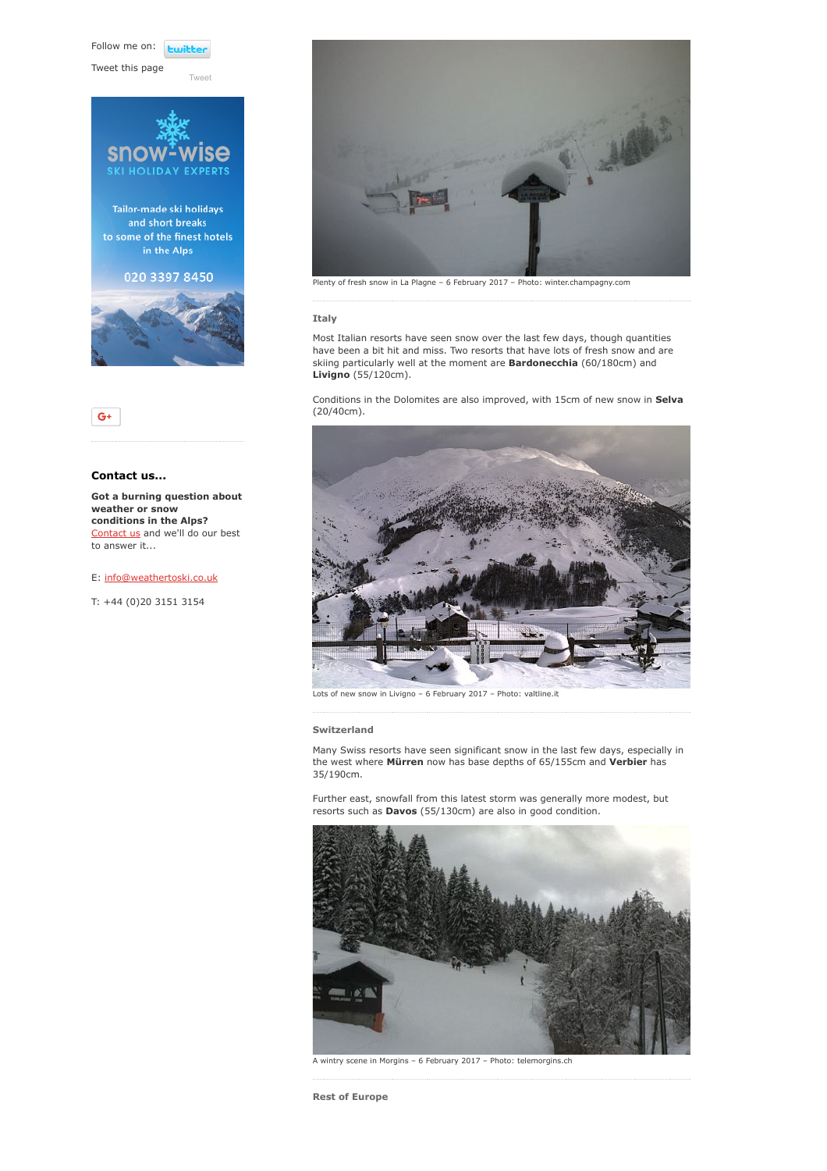Follow me on: **Lwitter** 

Tweet this page





# Contact us...

Got a burning question about weather or snow conditions in the Alps? [Contact us](https://www.weathertoski.co.uk/about-1/contact-us/) and we'll do our best to answer it...

## E: [info@weathertoski.co.uk](mailto:fraser@weathertoski.co.uk)

T: +44 (0)20 3151 3154



Plenty of fresh snow in La Plagne – 6 February 2017 – Photo: winter.champagny.com

#### Italy

Most Italian resorts have seen snow over the last few days, though quantities have been a bit hit and miss. Two resorts that have lots of fresh snow and are skiing particularly well at the moment are **Bardonecchia** (60/180cm) and Livigno (55/120cm).

Conditions in the Dolomites are also improved, with 15cm of new snow in Selva (20/40cm).



Lots of new snow in Livigno – 6 February 2017 – Photo: valtline.it

## Switzerland

Many Swiss resorts have seen significant snow in the last few days, especially in the west where Mürren now has base depths of 65/155cm and Verbier has 35/190cm.

Further east, snowfall from this latest storm was generally more modest, but resorts such as Davos (55/130cm) are also in good condition.



A wintry scene in Morgins – 6 February 2017 – Photo: telemorgins.ch

Rest of Europe